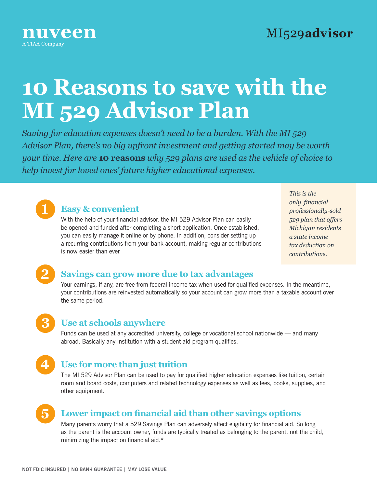

# **10 Reasons to save with the MI 529 Advisor Plan**

*Saving for education expenses doesn't need to be a burden. With the MI 529 Advisor Plan, there's no big upfront investment and getting started may be worth your time. Here are* **10 reasons** *why 529 plans are used as the vehicle of choice to help invest for loved ones' future higher educational expenses.*



# **1 Easy & convenient**

With the help of your financial advisor, the MI 529 Advisor Plan can easily be opened and funded after completing a short application. Once established, you can easily manage it online or by phone. In addition, consider setting up a recurring contributions from your bank account, making regular contributions is now easier than ever.

*This is the only financial professionally-sold 529 plan that offers Michigan residents a state income tax deduction on contributions.*

# **2 Savings can grow more due to tax advantages**

Your earnings, if any, are free from federal income tax when used for qualified expenses. In the meantime, your contributions are reinvested automatically so your account can grow more than a taxable account over the same period.

### **3 Use at schools anywhere**

Funds can be used at any accredited university, college or vocational school nationwide — and many abroad. Basically any institution with a student aid program qualifies.



# **4 Use for more than just tuition**

The MI 529 Advisor Plan can be used to pay for qualified higher education expenses like tuition, certain room and board costs, computers and related technology expenses as well as fees, books, supplies, and other equipment.

# **5 Lower impact on financial aid than other savings options**

Many parents worry that a 529 Savings Plan can adversely affect eligibility for financial aid. So long as the parent is the account owner, funds are typically treated as belonging to the parent, not the child, minimizing the impact on financial aid.\*